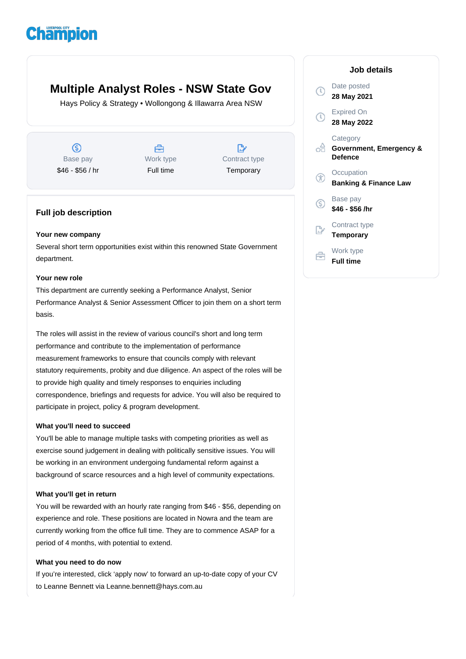# **Champion**

# **Multiple Analyst Roles - NSW State Gov**

Hays Policy & Strategy • Wollongong & Illawarra Area NSW

൫ Base pay \$46 - \$56 / hr

曲 Work type Full time

 $\mathbb{R}$ Contract type **Temporary** 

## **Full job description**

#### **Your new company**

Several short term opportunities exist within this renowned State Government department.

#### **Your new role**

This department are currently seeking a Performance Analyst, Senior Performance Analyst & Senior Assessment Officer to join them on a short term basis.

The roles will assist in the review of various council's short and long term performance and contribute to the implementation of performance measurement frameworks to ensure that councils comply with relevant statutory requirements, probity and due diligence. An aspect of the roles will be to provide high quality and timely responses to enquiries including correspondence, briefings and requests for advice. You will also be required to participate in project, policy & program development.

#### **What you'll need to succeed**

You'll be able to manage multiple tasks with competing priorities as well as exercise sound judgement in dealing with politically sensitive issues. You will be working in an environment undergoing fundamental reform against a background of scarce resources and a high level of community expectations.

#### **What you'll get in return**

You will be rewarded with an hourly rate ranging from \$46 - \$56, depending on experience and role. These positions are located in Nowra and the team are currently working from the office full time. They are to commence ASAP for a period of 4 months, with potential to extend.

#### **What you need to do now**

If you're interested, click 'apply now' to forward an up-to-date copy of your CV to Leanne Bennett via Leanne.bennett@hays.com.au

## **Job details** Date posted  $\mathbb{C}$ **28 May 2021** Expired On **28 May 2022 Category** ofi **Government, Emergency & Defence Occupation** G **Banking & Finance Law** Base pay  $\mathbb{C}$ **\$46 - \$56 /hr** Contract type **Temporary** Work type **Full time**